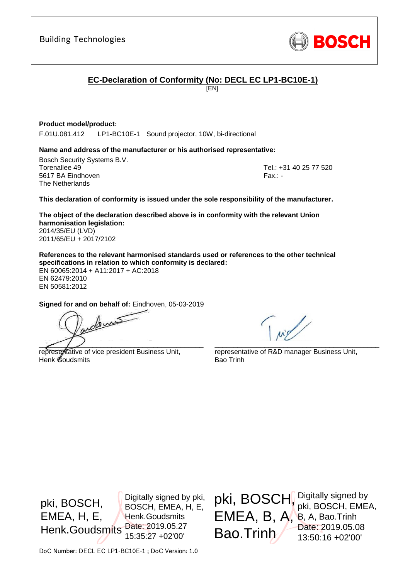

## **EC-Declaration of Conformity (No: DECL EC LP1-BC10E-1)**

[EN]

#### **Product model/product:**

F.01U.081.412 LP1-BC10E-1 Sound projector, 10W, bi-directional

#### **Name and address of the manufacturer or his authorised representative:**

Bosch Security Systems B.V. Torenallee 49 Tel.: +31 40 25 77 520 5617 BA Eindhoven Fax.: - Fax.: - Fax.: - Fax.: - Fax.: - Fax.: -The Netherlands

<span id="page-0-1"></span><span id="page-0-0"></span>

#### **This declaration of conformity is issued under the sole responsibility of the manufacturer.**

<span id="page-0-2"></span>**The object of the declaration described above is in conformity with the relevant Union harmonisation legislation:** 2014/35/EU (LVD)

2011/65/EU + 2017/2102

**References to the relevant harmonised standards used or references to the other technical specifications in relation to which conformity is declared:**

EN 60065:2014 + A11:2017 + AC:2018 EN 62479:2010 EN 50581:2012

<span id="page-0-6"></span><span id="page-0-5"></span><span id="page-0-4"></span><span id="page-0-3"></span>**Signed for and on behalf of:** Eindhoven, 05-03-2019

andems  $\angle$  / /  $\angle$  /  $\angle$  /  $\angle$  /  $\angle$  /  $\angle$  /  $\angle$  /  $\angle$  /  $\angle$  /  $\angle$  /  $\angle$  /  $\angle$  /  $\angle$  /  $\angle$  /  $\angle$  /  $\angle$  /  $\angle$  /  $\angle$  /  $\angle$  /  $\angle$  /  $\angle$  /  $\angle$  /  $\angle$  /  $\angle$  /  $\angle$  /  $\angle$  /  $\angle$  /  $\angle$  /  $\angle$  /  $\angle$  /  $\angle$  /  $\$ 

representative of vice president Business Unit, Henk Goudsmits

\_\_\_\_\_\_\_\_\_\_\_\_\_\_\_\_\_\_\_\_\_\_\_\_\_\_\_\_\_\_\_\_\_\_\_\_\_\_\_\_\_\_\_

representative of R&D manager Business Unit, Bao Trinh

pki, BOSCH, Digitally signed by

pki, BOSCH, EMEA,

Date: 2019.05.08 13:50:16 +02'00'

EMEA, B, A, B, A, Bao.Trinh

Bao.Trinh

pki, BOSCH, EMEA, H, E, Henk.Goudsmits Digitally signed by pki, BOSCH, EMEA, H, E, Henk.Goudsmits Date: 2019.05.27 15:35:27 +02'00'

DoC Number: DECL EC LP1-BC10E-1 ; DoC Version: 1.0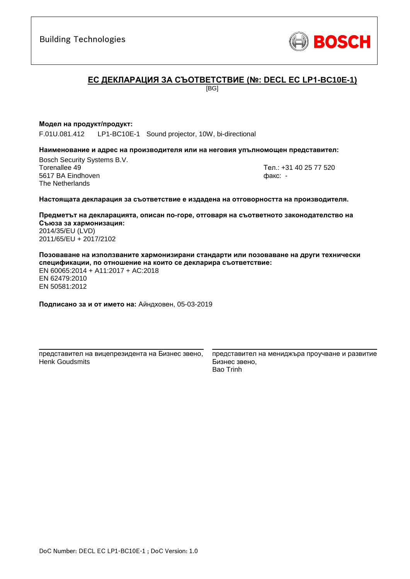**ЕС ДЕКЛАРАЦИЯ ЗА СЪОТВЕТСТВИЕ (№: DECL EC LP1-BC10E-1)**

[BG]

#### **Модел на продукт/продукт:**

F.01U.081.412 LP1-BC10E-1 Sound projector, 10W, bi-directional

#### **Наименование и адрес на производителя или на неговия упълномощен представител:**

Bosch Security Systems B.V. Torenallee 49 Тел.: [+31 40 25 77 520](#page-0-0) 5617 BA Eindhoven факс: [-](#page-0-1) The Netherlands

#### **Настоящата декларация за съответствие е издадена на отговорността на производителя.**

**Предметът на декларацията, описан по-горе, отговаря на съответното законодателство на Съюза за хармонизация[:](#page-0-2)** [2014/35/EU \(LVD\)](#page-0-2) [2011/65/EU + 2017/2102](#page-0-2)

**Позоваване на използваните хармонизирани стандарти или позоваване на други технически спецификации, по отношение на които се декларира съответствие:** EN 60065:2014 + A11:2017 + AC:2018

EN 62479:2010 [E](#page-0-3)[N](#page-0-4) [50](#page-0-6)581:2012

**Подписано за и от името на:** Айндховен, 05-03-2019

\_\_\_\_\_\_\_\_\_\_\_\_\_\_\_\_\_\_\_\_\_\_\_\_\_\_\_\_\_\_\_\_\_\_\_\_\_\_\_\_\_\_\_ представител на вицепрезидента на Бизнес звено, Henk Goudsmits

представител на мениджъра проучване и развитие Бизнес звено, Bao Trinh

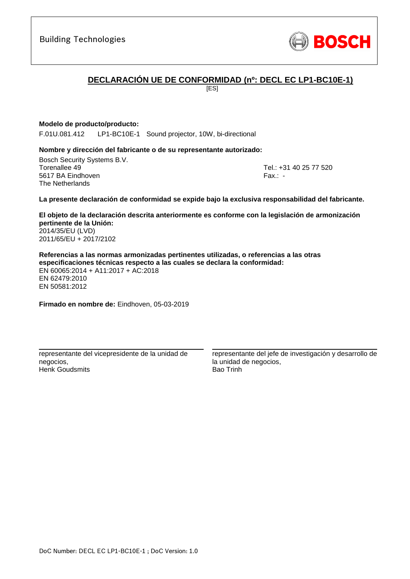

## **DECLARACIÓN UE DE CONFORMIDAD (nº: DECL EC LP1-BC10E-1)**

[ES]

#### **Modelo de producto/producto:**

F.01U.081.412 LP1-BC10E-1 Sound projector, 10W, bi-directional

#### **Nombre y dirección del fabricante o de su representante autorizado:**

Bosch Security Systems B.V. Torenallee 49 Tel.: [+31 40 25 77 520](#page-0-0) 5617 BA Eindhoven Fax.: [-](#page-0-1) The Netherlands

#### **La presente declaración de conformidad se expide bajo la exclusiva responsabilidad del fabricante.**

**El objeto de la declaración descrita anteriormente es conforme con la legislación de armonización pertinente de la Unión[:](#page-0-2)** [2014/35/EU \(LVD\)](#page-0-2) [2011/65/EU + 2017/2102](#page-0-2)

**Referencias a las normas armonizadas pertinentes utilizadas, o referencias a las otras especificaciones técnicas respecto a las cuales se declara la conformidad:** EN 60065:2014 + A11:2017 + AC:2018 EN 62479:2010 [E](#page-0-3)[N](#page-0-4)[50](#page-0-6)581:2012

**Firmado en nombre de:** Eindhoven, 05-03-2019

\_\_\_\_\_\_\_\_\_\_\_\_\_\_\_\_\_\_\_\_\_\_\_\_\_\_\_\_\_\_\_\_\_\_\_\_\_\_\_\_\_\_\_ representante del vicepresidente de la unidad de negocios, Henk Goudsmits

representante del jefe de investigación y desarrollo de la unidad de negocios, Bao Trinh

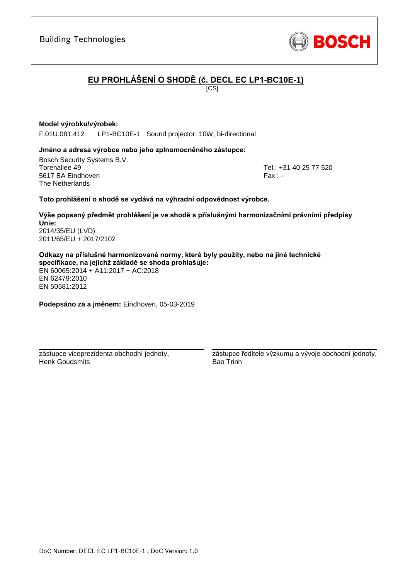zástupce viceprezidenta obchodní jednoty, Henk Goudsmits

**Podepsáno za a jménem:** Eindhoven, 05-03-2019

\_\_\_\_\_\_\_\_\_\_\_\_\_\_\_\_\_\_\_\_\_\_\_\_\_\_\_\_\_\_\_\_\_\_\_\_\_\_\_\_\_\_\_

\_\_\_\_\_\_\_\_\_\_\_\_\_\_\_\_\_\_\_\_\_\_\_\_\_\_\_\_\_\_\_\_\_\_\_\_\_\_\_\_\_\_\_ zástupce ředitele výzkumu a vývoje obchodní jednoty, Bao Trinh

# **EU PROHLÁŠENÍ O SHODĚ (č. DECL EC LP1-BC10E-1)**

 $\overline{IC}$ SI

#### **Model výrobku/výrobek:**

F.01U.081.412 LP1-BC10E-1 Sound projector, 10W, bi-directional

#### **Jméno a adresa výrobce nebo jeho zplnomocněného zástupce:**

Bosch Security Systems B.V. Torenallee 49 Tel.: [+31 40 25 77 520](#page-0-0) 5617 BA Eindhoven Fax.: [-](#page-0-1) Fax.: - Fax.: - Fax.: - Fax.: -The Netherlands

#### **Toto prohlášení o shodě se vydává na výhradní odpovědnost výrobce.**

**Výše popsaný předmět prohlášení je ve shodě s příslušnými harmonizačními právními předpisy Unie[:](#page-0-2)** [2014/35/EU \(LVD\)](#page-0-2) [2011/65/EU + 2017/2102](#page-0-2)

**Odkazy na příslušné harmonizované normy, které byly použity, nebo na jiné technické specifikace, na jejichž základě se shoda prohlašuje:** EN 60065:2014 + A11:2017 + AC:2018 EN 62479:2010 [E](#page-0-3)[N](#page-0-4)[50](#page-0-6)581:2012

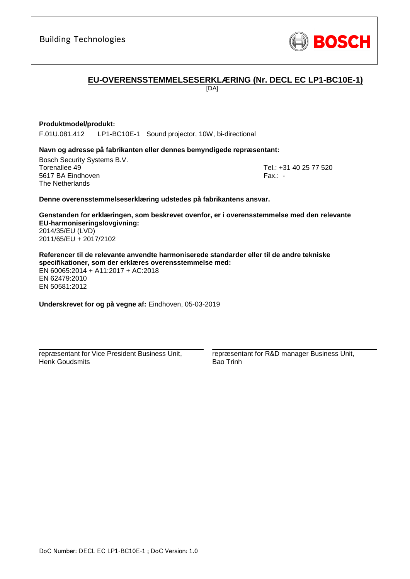

## **EU-OVERENSSTEMMELSESERKLÆRING (Nr. DECL EC LP1-BC10E-1)**

[DA]

#### **Produktmodel/produkt:**

F.01U.081.412 LP1-BC10E-1 Sound projector, 10W, bi-directional

#### **Navn og adresse på fabrikanten eller dennes bemyndigede repræsentant:**

Bosch Security Systems B.V. Torenallee 49 Tel.: [+31 40 25 77 520](#page-0-0) 5617 BA Eindhoven Fax.: [-](#page-0-1) The Netherlands

#### **Denne overensstemmelseserklæring udstedes på fabrikantens ansvar.**

**Genstanden for erklæringen, som beskrevet ovenfor, er i overensstemmelse med den relevante EU-harmoniseringslovgivning[:](#page-0-2)** [2014/35/EU \(LVD\)](#page-0-2) [2011/65/EU + 2017/2102](#page-0-2)

**Referencer til de relevante anvendte harmoniserede standarder eller til de andre tekniske specifikationer, som der erklæres overensstemmelse med:** EN 60065:2014 + A11:2017 + AC:2018 EN 62479:2010 [E](#page-0-3)[N](#page-0-4)[50](#page-0-6)581:2012

**Underskrevet for og på vegne af:** Eindhoven, 05-03-2019

repræsentant for Vice President Business Unit, Henk Goudsmits

\_\_\_\_\_\_\_\_\_\_\_\_\_\_\_\_\_\_\_\_\_\_\_\_\_\_\_\_\_\_\_\_\_\_\_\_\_\_\_\_\_\_\_

repræsentant for R&D manager Business Unit, Bao Trinh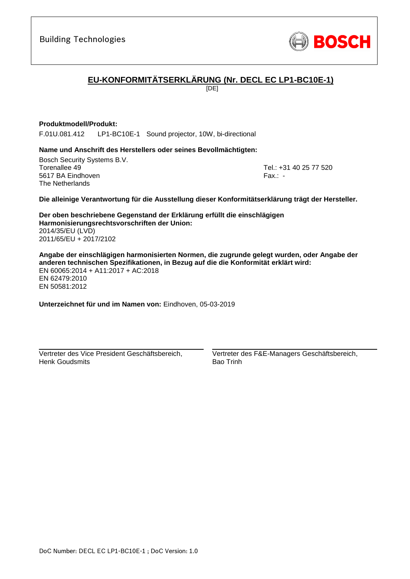

# **EU-KONFORMITÄTSERKLÄRUNG (Nr. DECL EC LP1-BC10E-1)**

[DE]

#### **Produktmodell/Produkt:**

F.01U.081.412 LP1-BC10E-1 Sound projector, 10W, bi-directional

#### **Name und Anschrift des Herstellers oder seines Bevollmächtigten:**

Bosch Security Systems B.V. Torenallee 49 Tel.: [+31 40 25 77 520](#page-0-0) 5617 BA Eindhoven Fax.: [-](#page-0-1) The Netherlands

**Die alleinige Verantwortung für die Ausstellung dieser Konformitätserklärung trägt der Hersteller.**

**Der oben beschriebene Gegenstand der Erklärung erfüllt die einschlägigen Harmonisierungsrechtsvorschriften der Union[:](#page-0-2)** [2014/35/EU \(LVD\)](#page-0-2) [2011/65/EU + 2017/2102](#page-0-2)

**Angabe der einschlägigen harmonisierten Normen, die zugrunde gelegt wurden, oder Angabe der anderen technischen Spezifikationen, in Bezug auf die die Konformität erklärt wird:** EN 60065:2014 + A11:2017 + AC:2018 EN 62479:2010 [E](#page-0-3)[N](#page-0-4)[50](#page-0-6)581:2012

**Unterzeichnet für und im Namen von:** Eindhoven, 05-03-2019

Vertreter des Vice President Geschäftsbereich, Henk Goudsmits

\_\_\_\_\_\_\_\_\_\_\_\_\_\_\_\_\_\_\_\_\_\_\_\_\_\_\_\_\_\_\_\_\_\_\_\_\_\_\_\_\_\_\_

Vertreter des F&E-Managers Geschäftsbereich, Bao Trinh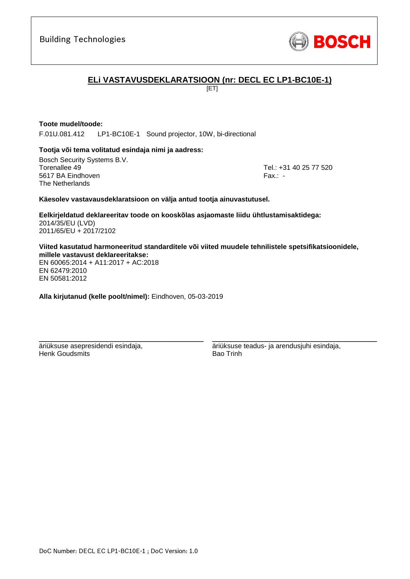

## **ELi VASTAVUSDEKLARATSIOON (nr: DECL EC LP1-BC10E-1)**

[ET]

#### **Toote mudel/toode:**

F.01U.081.412 LP1-BC10E-1 Sound projector, 10W, bi-directional

#### **Tootja või tema volitatud esindaja nimi ja aadress:**

Bosch Security Systems B.V. Torenallee 49 Tel.: [+31 40 25 77 520](#page-0-0) 5617 BA Eindhoven Fax.: [-](#page-0-1) The Netherlands

#### **Käesolev vastavausdeklaratsioon on välja antud tootja ainuvastutusel.**

**Eelkirjeldatud deklareeritav toode on kooskõlas asjaomaste liidu ühtlustamisaktidega[:](#page-0-2)** [2014/35/EU \(LVD\)](#page-0-2) [2011/65/EU + 2017/2102](#page-0-2)

**Viited kasutatud harmoneeritud standarditele või viited muudele tehnilistele spetsifikatsioonidele, millele vastavust deklareeritakse:**

EN 60065:2014 + A11:2017 + AC:2018 EN 62479:2010 EN 50581:2012

**Alla kirjutanud (kelle poolt/nimel):** Eindhoven, 05-03-2019

\_\_\_\_\_\_\_\_\_\_\_\_\_\_\_\_\_\_\_\_\_\_\_\_\_\_\_\_\_\_\_\_\_\_\_\_\_\_\_\_\_\_\_

äriüksuse asepresidendi esindaja, Henk Goudsmits

äriüksuse teadus- ja arendusjuhi esindaja, Bao Trinh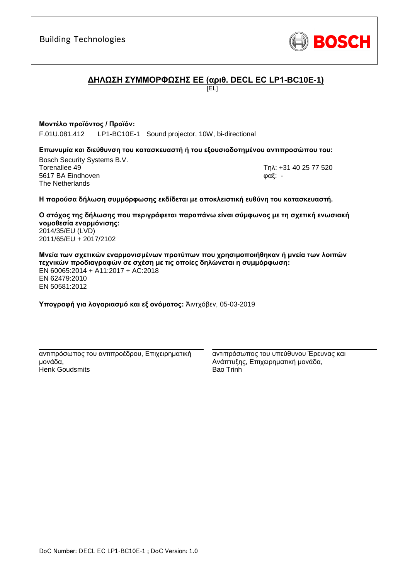

## **ΔΗΛΩΣΗ ΣΥΜΜΟΡΦΩΣΗΣ ΕΕ (αριθ. DECL EC LP1-BC10E-1)**

[EL]

#### **Μοντέλο προϊόντος / Προϊόν:**

F.01U.081.412 LP1-BC10E-1 Sound projector, 10W, bi-directional

#### **Επωνυμία και διεύθυνση του κατασκευαστή ή του εξουσιοδοτημένου αντιπροσώπου του:**

Bosch Security Systems B.V. Torenallee 49 Τηλ: [+31 40 25 77 520](#page-0-0) 5617 BA Eindhoven φαξ: [-](#page-0-1) The Netherlands

#### **Η παρούσα δήλωση συμμόρφωσης εκδίδεται με αποκλειστική ευθύνη του κατασκευαστή.**

**Ο στόχος της δήλωσης που περιγράφεται παραπάνω είναι σύμφωνος με τη σχετική ενωσιακή νομοθεσία εναρμόνισης[:](#page-0-2)** [2014/35/EU \(LVD\)](#page-0-2) [2011/65/EU + 2017/2102](#page-0-2)

**Μνεία των σχετικών εναρμονισμένων προτύπων που χρησιμοποιήθηκαν ή μνεία των λοιπών τεχνικών προδιαγραφών σε σχέση με τις οποίες δηλώνεται η συμμόρφωση:** EN 60065:2014 + A11:2017 + AC:2018 EN 62479:2010 [E](#page-0-3)[N](#page-0-4)[50](#page-0-6)581:2012

**Υπογραφή για λογαριασμό και εξ ονόματος:** Άιντχόβεν, 05-03-2019

\_\_\_\_\_\_\_\_\_\_\_\_\_\_\_\_\_\_\_\_\_\_\_\_\_\_\_\_\_\_\_\_\_\_\_\_\_\_\_\_\_\_\_ αντιπρόσωπος του αντιπροέδρου, Επιχειρηματική μονάδα, Henk Goudsmits

αντιπρόσωπος του υπεύθυνου Έρευνας και Ανάπτυξης, Επιχειρηματική μονάδα, Bao Trinh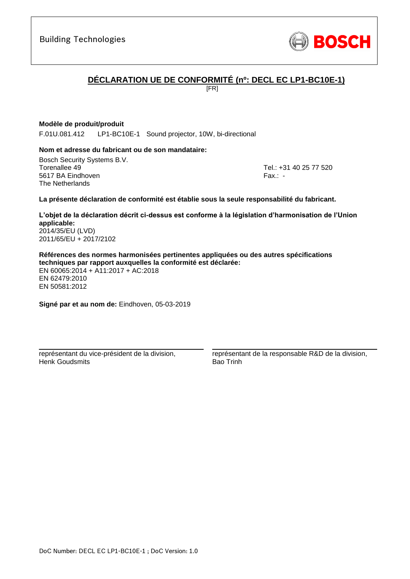

## **DÉCLARATION UE DE CONFORMITÉ (nº: DECL EC LP1-BC10E-1)**

[FR]

#### **Modèle de produit/produit**

F.01U.081.412 LP1-BC10E-1 Sound projector, 10W, bi-directional

#### **Nom et adresse du fabricant ou de son mandataire:**

Bosch Security Systems B.V. Torenallee 49 Tel.: [+31 40 25 77 520](#page-0-0) 5617 BA Eindhoven Fax.: [-](#page-0-1) The Netherlands

#### **La présente déclaration de conformité est établie sous la seule responsabilité du fabricant.**

**L'objet de la déclaration décrit ci-dessus est conforme à la législation d'harmonisation de l'Union applicable[:](#page-0-2)** [2014/35/EU \(LVD\)](#page-0-2)

[2011/65/EU + 2017/2102](#page-0-2)

**Références des normes harmonisées pertinentes appliquées ou des autres spécifications techniques par rapport auxquelles la conformité est déclarée:** EN 60065:2014 + A11:2017 + AC:2018 EN 62479:2010 [E](#page-0-3)[N](#page-0-4)[50](#page-0-6)581:2012

**Signé par et au nom de:** Eindhoven, 05-03-2019

\_\_\_\_\_\_\_\_\_\_\_\_\_\_\_\_\_\_\_\_\_\_\_\_\_\_\_\_\_\_\_\_\_\_\_\_\_\_\_\_\_\_\_

représentant du vice-président de la division, Henk Goudsmits

représentant de la responsable R&D de la division, Bao Trinh

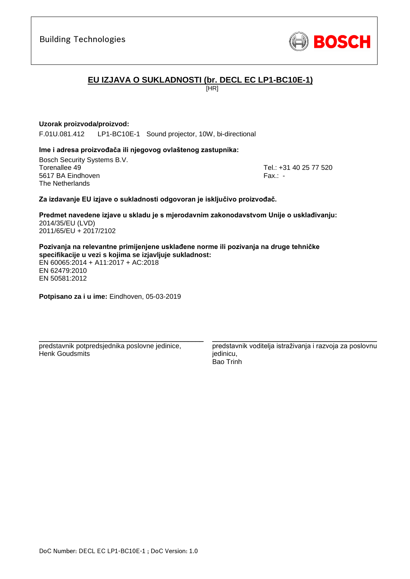Building Technologies

## **EU IZJAVA O SUKLADNOSTI (br. DECL EC LP1-BC10E-1)**

[HR]

#### **Uzorak proizvoda/proizvod:**

F.01U.081.412 LP1-BC10E-1 Sound projector, 10W, bi-directional

#### **Ime i adresa proizvođača ili njegovog ovlaštenog zastupnika:**

Bosch Security Systems B.V. Torenallee 49 Tel.: [+31 40 25 77 520](#page-0-0) 5617 BA Eindhoven Fax.: [-](#page-0-1) The Netherlands

#### **Za izdavanje EU izjave o sukladnosti odgovoran je isključivo proizvođač.**

**Predmet navedene izjave u skladu je s mjerodavnim zakonodavstvom Unije o usklađivanju[:](#page-0-2)** [2014/35/EU \(LVD\)](#page-0-2) [2011/65/EU + 2017/2102](#page-0-2)

**Pozivanja na relevantne primijenjene usklađene norme ili pozivanja na druge tehničke specifikacije u vezi s kojima se izjavljuje sukladnost:**

EN 60065:2014 + A11:2017 + AC:2018 EN 62479:2010 EN 50581:2012

**Potpisano za i u ime:** Eindhoven, 05-03-2019

predstavnik potpredsjednika poslovne jedinice, Henk Goudsmits

\_\_\_\_\_\_\_\_\_\_\_\_\_\_\_\_\_\_\_\_\_\_\_\_\_\_\_\_\_\_\_\_\_\_\_\_\_\_\_\_\_\_\_

predstavnik voditelja istraživanja i razvoja za poslovnu jedinicu, Bao Trinh

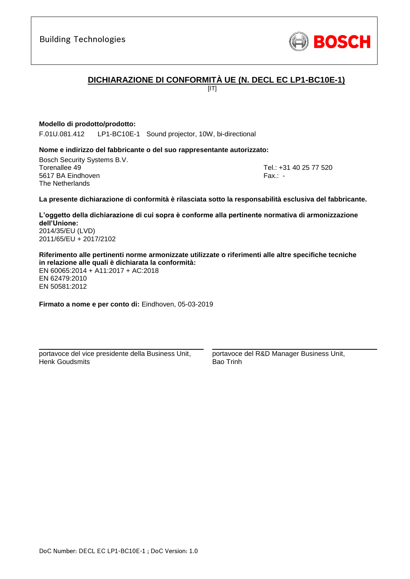

## **DICHIARAZIONE DI CONFORMITÀ UE (N. DECL EC LP1-BC10E-1)**

 $[IT]$ 

#### **Modello di prodotto/prodotto:**

F.01U.081.412 LP1-BC10E-1 Sound projector, 10W, bi-directional

#### **Nome e indirizzo del fabbricante o del suo rappresentante autorizzato:**

Bosch Security Systems B.V. Torenallee 49 Tel.: [+31 40 25 77 520](#page-0-0) 5617 BA Eindhoven Fax.: [-](#page-0-1) The Netherlands

#### **La presente dichiarazione di conformità è rilasciata sotto la responsabilità esclusiva del fabbricante.**

**L'oggetto della dichiarazione di cui sopra è conforme alla pertinente normativa di armonizzazione dell'Unione[:](#page-0-2)** [2014/35/EU \(LVD\)](#page-0-2)

[2011/65/EU + 2017/2102](#page-0-2)

**Riferimento alle pertinenti norme armonizzate utilizzate o riferimenti alle altre specifiche tecniche in relazione alle quali è dichiarata la conformità:**

EN 60065:2014 + A11:2017 + AC:2018 EN 62479:2010 [E](#page-0-3)[N](#page-0-4)[50](#page-0-6)581:2012

**Firmato a nome e per conto di:** Eindhoven, 05-03-2019

portavoce del vice presidente della Business Unit, Henk Goudsmits

\_\_\_\_\_\_\_\_\_\_\_\_\_\_\_\_\_\_\_\_\_\_\_\_\_\_\_\_\_\_\_\_\_\_\_\_\_\_\_\_\_\_\_

portavoce del R&D Manager Business Unit, Bao Trinh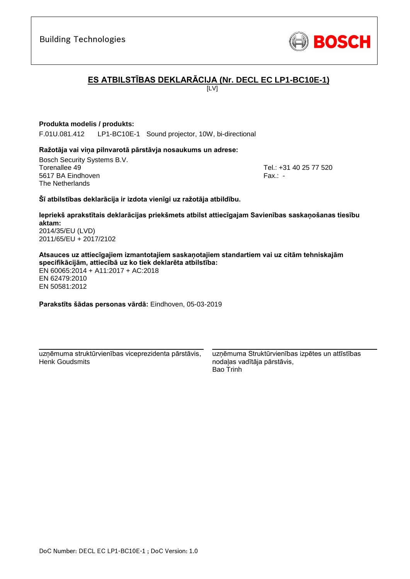

# **ES ATBILSTĪBAS DEKLARĀCIJA (Nr. DECL EC LP1-BC10E-1)**

 $\overline{L}$ 

#### **Produkta modelis / produkts:**

F.01U.081.412 LP1-BC10E-1 Sound projector, 10W, bi-directional

#### **Ražotāja vai viņa pilnvarotā pārstāvja nosaukums un adrese:**

Bosch Security Systems B.V. Torenallee 49 Tel.: [+31 40 25 77 520](#page-0-0) 5617 BA Eindhoven Fax.: [-](#page-0-1) The Netherlands

#### **Šī atbilstības deklarācija ir izdota vienīgi uz ražotāja atbildību.**

**Iepriekš aprakstītais deklarācijas priekšmets atbilst attiecīgajam Savienības saskaņošanas tiesību aktam[:](#page-0-2)** [2014/35/EU \(LVD\)](#page-0-2)

[2011/65/EU + 2017/2102](#page-0-2)

**Atsauces uz attiecīgajiem izmantotajiem saskaņotajiem standartiem vai uz citām tehniskajām specifikācijām, attiecībā uz ko tiek deklarēta atbilstība:**

EN 60065:2014 + A11:2017 + AC:2018 EN 62479:2010 [E](#page-0-3)[N](#page-0-4)[50](#page-0-6)581:2012

**Parakstīts šādas personas vārdā:** Eindhoven, 05-03-2019

\_\_\_\_\_\_\_\_\_\_\_\_\_\_\_\_\_\_\_\_\_\_\_\_\_\_\_\_\_\_\_\_\_\_\_\_\_\_\_\_\_\_\_ uzņēmuma struktūrvienības viceprezidenta pārstāvis, Henk Goudsmits

uzņēmuma Struktūrvienības izpētes un attīstības nodaļas vadītāja pārstāvis, Bao Trinh

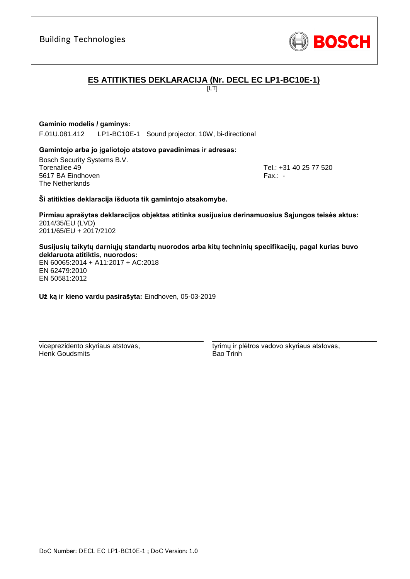

## **ES ATITIKTIES DEKLARACIJA (Nr. DECL EC LP1-BC10E-1)**

 $\overline{L}$ 

#### **Gaminio modelis / gaminys:**

F.01U.081.412 LP1-BC10E-1 Sound projector, 10W, bi-directional

#### **Gamintojo arba jo įgaliotojo atstovo pavadinimas ir adresas:**

Bosch Security Systems B.V. Torenallee 49 Tel.: [+31 40 25 77 520](#page-0-0) 5617 BA Eindhoven Fax.: [-](#page-0-1) The Netherlands

**Ši atitikties deklaracija išduota tik gamintojo atsakomybe.**

**Pirmiau aprašytas deklaracijos objektas atitinka susijusius derinamuosius Sąjungos teisės aktus[:](#page-0-2)** [2014/35/EU \(LVD\)](#page-0-2) [2011/65/EU + 2017/2102](#page-0-2)

**Susijusių taikytų darniųjų standartų nuorodos arba kitų techninių specifikacijų, pagal kurias buvo deklaruota atitiktis, nuorodos:**

EN 60065:2014 + A11:2017 + AC:2018 EN 62479:2010 EN 50581:2012

**Už ką ir kieno vardu pasirašyta:** Eindhoven, 05-03-2019

\_\_\_\_\_\_\_\_\_\_\_\_\_\_\_\_\_\_\_\_\_\_\_\_\_\_\_\_\_\_\_\_\_\_\_\_\_\_\_\_\_\_\_

viceprezidento skyriaus atstovas, Henk Goudsmits

tyrimų ir plėtros vadovo skyriaus atstovas, Bao Trinh

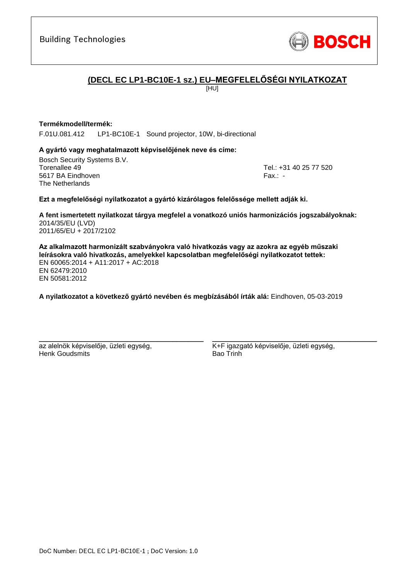

## **(DECL EC LP1-BC10E-1 sz.) EU–MEGFELELŐSÉGI NYILATKOZAT**

[HU]

#### **Termékmodell/termék:**

F.01U.081.412 LP1-BC10E-1 Sound projector, 10W, bi-directional

#### **A gyártó vagy meghatalmazott képviselőjének neve és címe:**

Bosch Security Systems B.V. Torenallee 49 Tel.: [+31 40 25 77 520](#page-0-0) 5617 BA Eindhoven Fax.: [-](#page-0-1) The Netherlands

#### **Ezt a megfelelőségi nyilatkozatot a gyártó kizárólagos felelőssége mellett adják ki.**

**A fent ismertetett nyilatkozat tárgya megfelel a vonatkozó uniós harmonizációs jogszabályoknak[:](#page-0-2)** [2014/35/EU \(LVD\)](#page-0-2) [2011/65/EU + 2017/2102](#page-0-2)

**Az alkalmazott harmonizált szabványokra való hivatkozás vagy az azokra az egyéb műszaki leírásokra való hivatkozás, amelyekkel kapcsolatban megfelelőségi nyilatkozatot tettek:** EN 60065:2014 + A11:2017 + AC:2018 EN 62479:2010 EN 50581:2012

**A nyilatkozatot a következő gyártó nevében és megbízásából írták alá:** Eindhoven, 05-03-2019

az alelnök képviselője, üzleti egység, Henk Goudsmits

\_\_\_\_\_\_\_\_\_\_\_\_\_\_\_\_\_\_\_\_\_\_\_\_\_\_\_\_\_\_\_\_\_\_\_\_\_\_\_\_\_\_\_

K+F igazgató képviselője, üzleti egység, Bao Trinh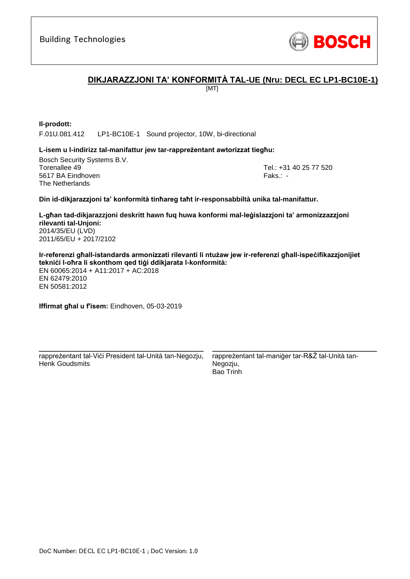

## **DIKJARAZZJONI TA' KONFORMITÀ TAL-UE (Nru: DECL EC LP1-BC10E-1)**

[MT]

**Il-prodott:** F.01U.081.412 LP1-BC10E-1 Sound projector, 10W, bi-directional

#### **L-isem u l-indirizz tal-manifattur jew tar-rappreżentant awtorizzat tiegħu:**

Bosch Security Systems B.V. Torenallee 49 Tel.: [+31 40 25 77 520](#page-0-0) 5617 BA Eindhoven Faks.[: -](#page-0-1) Faks.: - Faks.: - Faks.: - Faks.: -The Netherlands

#### **Din id-dikjarazzjoni ta' konformità tinħareg taħt ir-responsabbiltà unika tal-manifattur.**

**L-għan tad-dikjarazzjoni deskritt hawn fuq huwa konformi mal-leġislazzjoni ta' armonizzazzjoni rilevanti tal-Unjoni[:](#page-0-2)** [2014/35/EU \(LVD\)](#page-0-2) [2011/65/EU + 2017/2102](#page-0-2)

**Ir-referenzi għall-istandards armonizzati rilevanti li ntużaw jew ir-referenzi għall-ispeċifikazzjonijiet tekniċi l-oħra li skonthom qed tiġi ddikjarata l-konformità:** EN 60065:2014 + A11:2017 + AC:2018 EN 62479:2010

EN 50581:2012

**Iffirmat għal u f'isem:** Eindhoven, 05-03-2019

\_\_\_\_\_\_\_\_\_\_\_\_\_\_\_\_\_\_\_\_\_\_\_\_\_\_\_\_\_\_\_\_\_\_\_\_\_\_\_\_\_\_\_ rappreżentant tal-Viċi President tal-Unità tan-Negozju, Henk Goudsmits

rappreżentant tal-maniġer tar-R&Ż tal-Unità tan-Negozju, Bao Trinh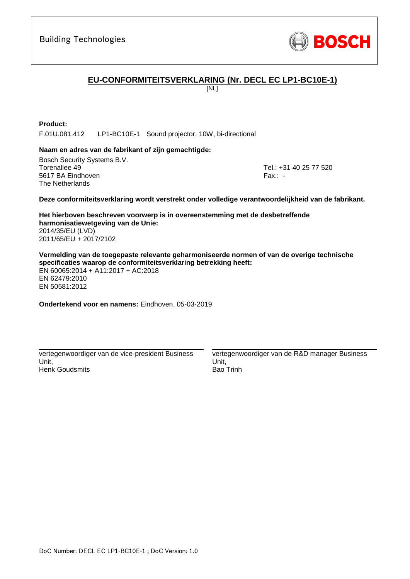

## **EU-CONFORMITEITSVERKLARING (Nr. DECL EC LP1-BC10E-1)**

[NL]

#### **Product:**

F.01U.081.412 LP1-BC10E-1 Sound projector, 10W, bi-directional

#### **Naam en adres van de fabrikant of zijn gemachtigde:**

Bosch Security Systems B.V. Torenallee 49 Tel.: [+31 40 25 77 520](#page-0-0) 5617 BA Eindhoven Fax.: [-](#page-0-1) Fax.: - Fax.: - Fax.: - Fax.: -The Netherlands

#### **Deze conformiteitsverklaring wordt verstrekt onder volledige verantwoordelijkheid van de fabrikant.**

**Het hierboven beschreven voorwerp is in overeenstemming met de desbetreffende harmonisatiewetgeving van de Unie[:](#page-0-2)** [2014/35/EU \(LVD\)](#page-0-2) [2011/65/EU + 2017/2102](#page-0-2)

**Vermelding van de toegepaste relevante geharmoniseerde normen of van de overige technische specificaties waarop de conformiteitsverklaring betrekking heeft:** EN 60065:2014 + A11:2017 + AC:2018 EN 62479:2010 [E](#page-0-3)[N](#page-0-4)[50](#page-0-6)581:2012

**Ondertekend voor en namens:** Eindhoven, 05-03-2019

vertegenwoordiger van de vice-president Business Unit, Henk Goudsmits

\_\_\_\_\_\_\_\_\_\_\_\_\_\_\_\_\_\_\_\_\_\_\_\_\_\_\_\_\_\_\_\_\_\_\_\_\_\_\_\_\_\_\_

vertegenwoordiger van de R&D manager Business Unit, Bao Trinh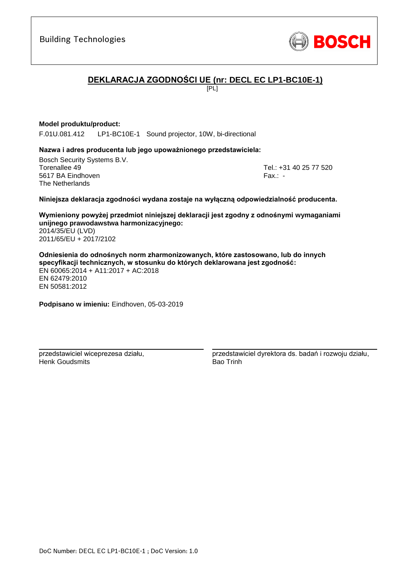

## **DEKLARACJA ZGODNOŚCI UE (nr: DECL EC LP1-BC10E-1)**

[PL]

#### **Model produktu/product:**

F.01U.081.412 LP1-BC10E-1 Sound projector, 10W, bi-directional

#### **Nazwa i adres producenta lub jego upoważnionego przedstawiciela:**

Bosch Security Systems B.V. Torenallee 49 Tel.: [+31 40 25 77 520](#page-0-0) 5617 BA Eindhoven Fax.: [-](#page-0-1) The Netherlands

#### **Niniejsza deklaracja zgodności wydana zostaje na wyłączną odpowiedzialność producenta.**

**Wymieniony powyżej przedmiot niniejszej deklaracji jest zgodny z odnośnymi wymaganiami unijnego prawodawstwa harmonizacyjnego[:](#page-0-2)** [2014/35/EU \(LVD\)](#page-0-2)

[2011/65/EU + 2017/2102](#page-0-2)

**Odniesienia do odnośnych norm zharmonizowanych, które zastosowano, lub do innych specyfikacji technicznych, w stosunku do których deklarowana jest zgodność:** EN 60065:2014 + A11:2017 + AC:2018 EN 62479:2010 [E](#page-0-3)[N](#page-0-4)[50](#page-0-6)581:2012

**Podpisano w imieniu:** Eindhoven, 05-03-2019

\_\_\_\_\_\_\_\_\_\_\_\_\_\_\_\_\_\_\_\_\_\_\_\_\_\_\_\_\_\_\_\_\_\_\_\_\_\_\_\_\_\_\_

przedstawiciel wiceprezesa działu, Henk Goudsmits

\_\_\_\_\_\_\_\_\_\_\_\_\_\_\_\_\_\_\_\_\_\_\_\_\_\_\_\_\_\_\_\_\_\_\_\_\_\_\_\_\_\_\_ przedstawiciel dyrektora ds. badań i rozwoju działu, Bao Trinh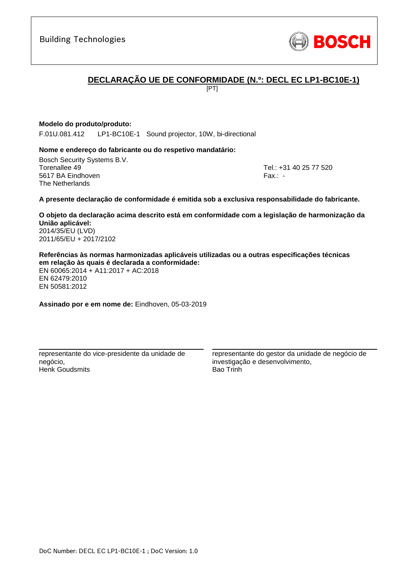

## **DECLARAÇÃO UE DE CONFORMIDADE (N.º: DECL EC LP1-BC10E-1)**

[PT]

#### **Modelo do produto/produto:**

F.01U.081.412 LP1-BC10E-1 Sound projector, 10W, bi-directional

#### **Nome e endereço do fabricante ou do respetivo mandatário:**

Bosch Security Systems B.V. Torenallee 49 Tel.: [+31 40 25 77 520](#page-0-0) 5617 BA Eindhoven Fax.: [-](#page-0-1) The Netherlands

#### **A presente declaração de conformidade é emitida sob a exclusiva responsabilidade do fabricante.**

**O objeto da declaração acima descrito está em conformidade com a legislação de harmonização da União aplicável[:](#page-0-2)** [2014/35/EU \(LVD\)](#page-0-2) [2011/65/EU + 2017/2102](#page-0-2)

**Referências às normas harmonizadas aplicáveis utilizadas ou a outras especificações técnicas em relação às quais é declarada a conformidade:** EN 60065:2014 + A11:2017 + AC:2018 EN 62479:2010 [E](#page-0-3)[N](#page-0-4)[50](#page-0-6)581:2012

**Assinado por e em nome de:** Eindhoven, 05-03-2019

\_\_\_\_\_\_\_\_\_\_\_\_\_\_\_\_\_\_\_\_\_\_\_\_\_\_\_\_\_\_\_\_\_\_\_\_\_\_\_\_\_\_\_

representante do vice-presidente da unidade de negócio, Henk Goudsmits

representante do gestor da unidade de negócio de investigação e desenvolvimento, Bao Trinh

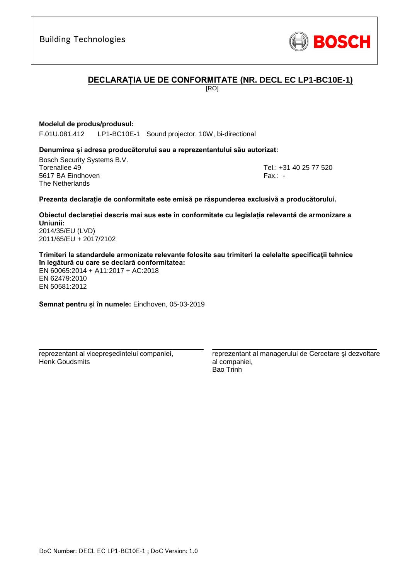

## **DECLARAȚIA UE DE CONFORMITATE (NR. DECL EC LP1-BC10E-1)**

[RO]

#### **Modelul de produs/produsul:**

F.01U.081.412 LP1-BC10E-1 Sound projector, 10W, bi-directional

#### **Denumirea și adresa producătorului sau a reprezentantului său autorizat:**

Bosch Security Systems B.V. Torenallee 49 Tel.: [+31 40 25 77 520](#page-0-0) 5617 BA Eindhoven Fax.: [-](#page-0-1) The Netherlands

#### **Prezenta declarație de conformitate este emisă pe răspunderea exclusivă a producătorului.**

**Obiectul declarației descris mai sus este în conformitate cu legislația relevantă de armonizare a Uniunii[:](#page-0-2)** [2014/35/EU \(LVD\)](#page-0-2)

[2011/65/EU + 2017/2102](#page-0-2)

**Trimiteri la standardele armonizate relevante folosite sau trimiteri la celelalte specificații tehnice în legătură cu care se declară conformitatea:**

EN 60065:2014 + A11:2017 + AC:2018 EN 62479:2010 [E](#page-0-3)[N](#page-0-4)[50](#page-0-6)581:2012

**Semnat pentru și în numele:** Eindhoven, 05-03-2019

\_\_\_\_\_\_\_\_\_\_\_\_\_\_\_\_\_\_\_\_\_\_\_\_\_\_\_\_\_\_\_\_\_\_\_\_\_\_\_\_\_\_\_

reprezentant al vicepreşedintelui companiei, Henk Goudsmits

reprezentant al managerului de Cercetare şi dezvoltare al companiei, Bao Trinh

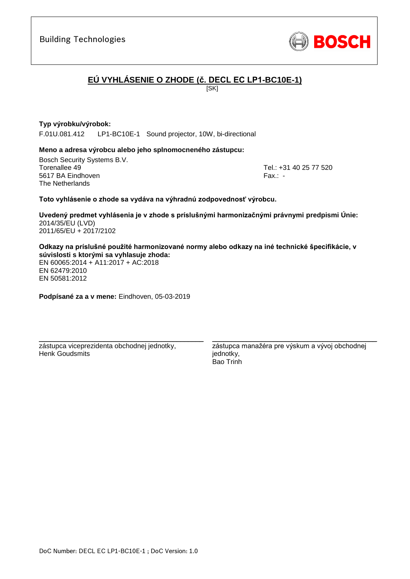

# **EÚ VYHLÁSENIE O ZHODE (č. DECL EC LP1-BC10E-1)**

[SK]

### **Typ výrobku/výrobok:**

F.01U.081.412 LP1-BC10E-1 Sound projector, 10W, bi-directional

#### **Meno a adresa výrobcu alebo jeho splnomocneného zástupcu:**

Bosch Security Systems B.V. Torenallee 49 Tel.: [+31 40 25 77 520](#page-0-0) 5617 BA Eindhoven Fax.: [-](#page-0-1) The Netherlands

#### **Toto vyhlásenie o zhode sa vydáva na výhradnú zodpovednosť výrobcu.**

**Uvedený predmet vyhlásenia je v zhode s príslušnými harmonizačnými právnymi predpismi Únie[:](#page-0-2)** [2014/35/EU \(LVD\)](#page-0-2) [2011/65/EU + 2017/2102](#page-0-2)

**Odkazy na príslušné použité harmonizované normy alebo odkazy na iné technické špecifikácie, v súvislosti s ktorými sa vyhlasuje zhoda:**

EN 60065:2014 + A11:2017 + AC:2018 EN 62479:2010 EN 50581:2012

**Podpísané za a v mene:** Eindhoven, 05-03-2019

\_\_\_\_\_\_\_\_\_\_\_\_\_\_\_\_\_\_\_\_\_\_\_\_\_\_\_\_\_\_\_\_\_\_\_\_\_\_\_\_\_\_\_

zástupca viceprezidenta obchodnej jednotky, Henk Goudsmits

zástupca manažéra pre výskum a vývoj obchodnej jednotky, Bao Trinh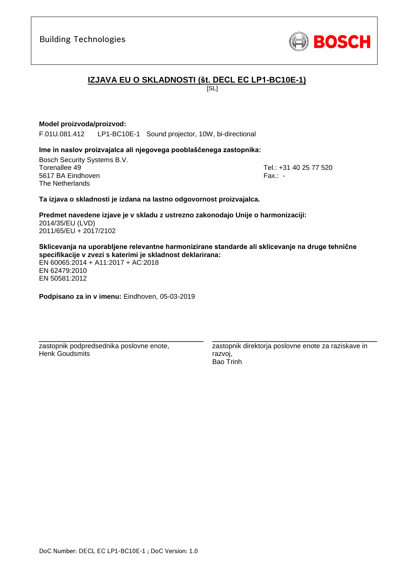**Predmet navedene izjave je v skladu z ustrezno zakonodajo Unije o harmonizaciji[:](#page-0-2)** [2014/35/EU \(LVD\)](#page-0-2) [2011/65/EU + 2017/2102](#page-0-2)

**Sklicevanja na uporabljene relevantne harmonizirane standarde ali sklicevanje na druge tehnične specifikacije v zvezi s katerimi je skladnost deklarirana:**

EN 60065:2014 + A11:2017 + AC:2018 EN 62479:2010 EN 50581:2012

**Podpisano za in v imenu:** Eindhoven, 05-03-2019

\_\_\_\_\_\_\_\_\_\_\_\_\_\_\_\_\_\_\_\_\_\_\_\_\_\_\_\_\_\_\_\_\_\_\_\_\_\_\_\_\_\_\_

DoC Number: DECL EC LP1-BC10E-1 ; DoC Version: 1.0

zastopnik podpredsednika poslovne enote, Henk Goudsmits

zastopnik direktorja poslovne enote za raziskave in razvoj, Bao Trinh

\_\_\_\_\_\_\_\_\_\_\_\_\_\_\_\_\_\_\_\_\_\_\_\_\_\_\_\_\_\_\_\_\_\_\_\_\_\_\_\_\_\_\_

# F.01U.081.412 LP1-BC10E-1 Sound projector, 10W, bi-directional **Ime in naslov proizvajalca ali njegovega pooblaščenega zastopnika:**

**Ta izjava o skladnosti je izdana na lastno odgovornost proizvajalca.**

Bosch Security Systems B.V. Torenallee 49 Tel.: [+31 40 25 77 520](#page-0-0) 5617 BA Eindhoven Fax.: [-](#page-0-1) The Netherlands

**Model proizvoda/proizvod:**

## **IZJAVA EU O SKLADNOSTI (št. DECL EC LP1-BC10E-1)**

 $|S_L|$ 

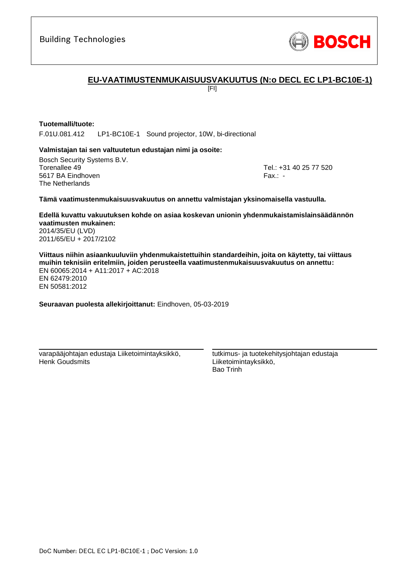

## **EU-VAATIMUSTENMUKAISUUSVAKUUTUS (N:o DECL EC LP1-BC10E-1)**

[FI]

#### **Tuotemalli/tuote:**

F.01U.081.412 LP1-BC10E-1 Sound projector, 10W, bi-directional

#### **Valmistajan tai sen valtuutetun edustajan nimi ja osoite:**

Bosch Security Systems B.V. Torenallee 49 Tel.: [+31 40 25 77 520](#page-0-0) 5617 BA Eindhoven Fax.: [-](#page-0-1) The Netherlands

#### **Tämä vaatimustenmukaisuusvakuutus on annettu valmistajan yksinomaisella vastuulla.**

**Edellä kuvattu vakuutuksen kohde on asiaa koskevan unionin yhdenmukaistamislainsäädännön vaatimusten mukainen[:](#page-0-2)** [2014/35/EU \(LVD\)](#page-0-2)

[2011/65/EU + 2017/2102](#page-0-2)

**Viittaus niihin asiaankuuluviin yhdenmukaistettuihin standardeihin, joita on käytetty, tai viittaus muihin teknisiin eritelmiin, joiden perusteella vaatimustenmukaisuusvakuutus on annettu:** EN 60065:2014 + A11:2017 + AC:2018 EN 62479:2010 [E](#page-0-3)[N](#page-0-4)[50](#page-0-6)581:2012

**Seuraavan puolesta allekirjoittanut:** Eindhoven, 05-03-2019

varapääjohtajan edustaja Liiketoimintayksikkö, Henk Goudsmits

\_\_\_\_\_\_\_\_\_\_\_\_\_\_\_\_\_\_\_\_\_\_\_\_\_\_\_\_\_\_\_\_\_\_\_\_\_\_\_\_\_\_\_

tutkimus- ja tuotekehitysjohtajan edustaja Liiketoimintayksikkö, Bao Trinh